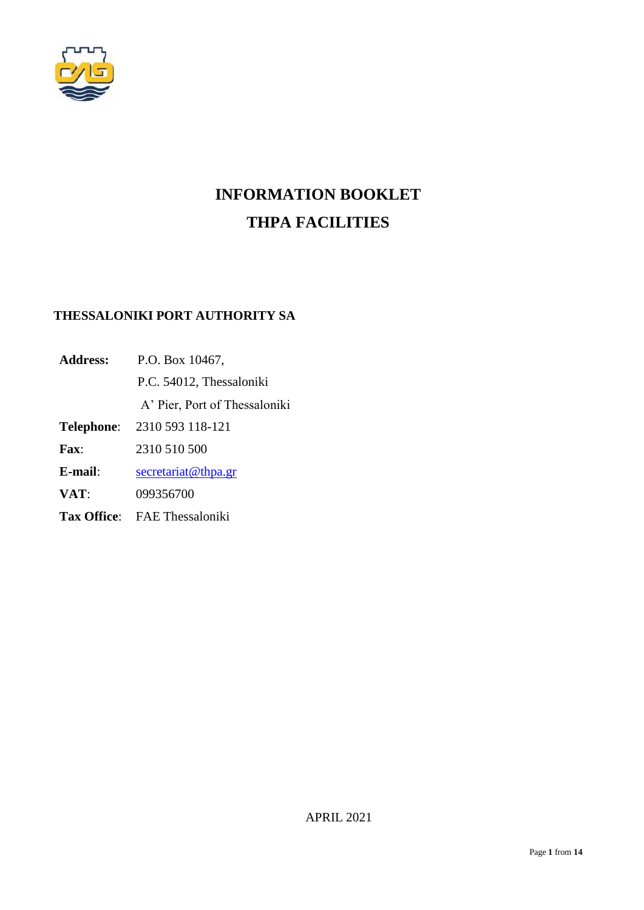

# **INFORMATION BOOKLET THPA FACILITIES**

### **THESSALONIKI PORT AUTHORITY SA**

| <b>Address:</b> | P.O. Box 10467,                     |
|-----------------|-------------------------------------|
|                 | P.C. 54012, Thessaloniki            |
|                 | A' Pier, Port of Thessaloniki       |
| Telephone:      | 2310 593 118-121                    |
| $\mathbf{Fax}$  | 2310 510 500                        |
| $E$ -mail:      | secretariat@thpa.gr                 |
| VAT:            | 099356700                           |
|                 | <b>Tax Office:</b> FAE Thessaloniki |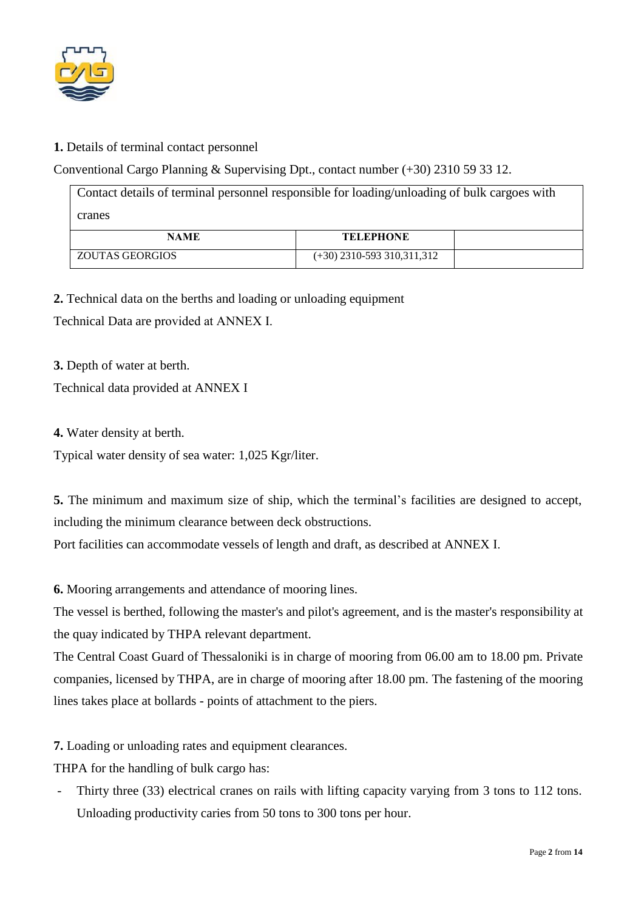

#### **1.** Details of terminal contact personnel

Conventional Cargo Planning & Supervising Dpt., contact number (+30) 2310 59 33 12.

|                 | Contact details of terminal personnel responsible for loading/unloading of bulk cargoes with |  |
|-----------------|----------------------------------------------------------------------------------------------|--|
| cranes          |                                                                                              |  |
| <b>NAME</b>     | <b>TELEPHONE</b>                                                                             |  |
| ZOUTAS GEORGIOS | $(+30)$ 2310-593 310,311,312                                                                 |  |

#### **2.** Technical data on the berths and loading or unloading equipment

Technical Data are provided at ANNEX Ι.

**3.** Depth of water at berth.

Technical data provided at ANNEX I

**4.** Water density at berth.

Typical water density of sea water: 1,025 Kgr/liter.

**5.** The minimum and maximum size of ship, which the terminal's facilities are designed to accept, including the minimum clearance between deck obstructions.

Port facilities can accommodate vessels of length and draft, as described at ANNEX Ι.

**6.** Mooring arrangements and attendance of mooring lines.

The vessel is berthed, following the master's and pilot's agreement, and is the master's responsibility at the quay indicated by THPA relevant department.

The Central Coast Guard of Thessaloniki is in charge of mooring from 06.00 am to 18.00 pm. Private companies, licensed by THPA, are in charge of mooring after 18.00 pm. The fastening of the mooring lines takes place at bollards - points of attachment to the piers.

**7.** Loading or unloading rates and equipment clearances.

THPA for the handling of bulk cargo has:

- Thirty three (33) electrical cranes on rails with lifting capacity varying from 3 tons to 112 tons. Unloading productivity caries from 50 tons to 300 tons per hour.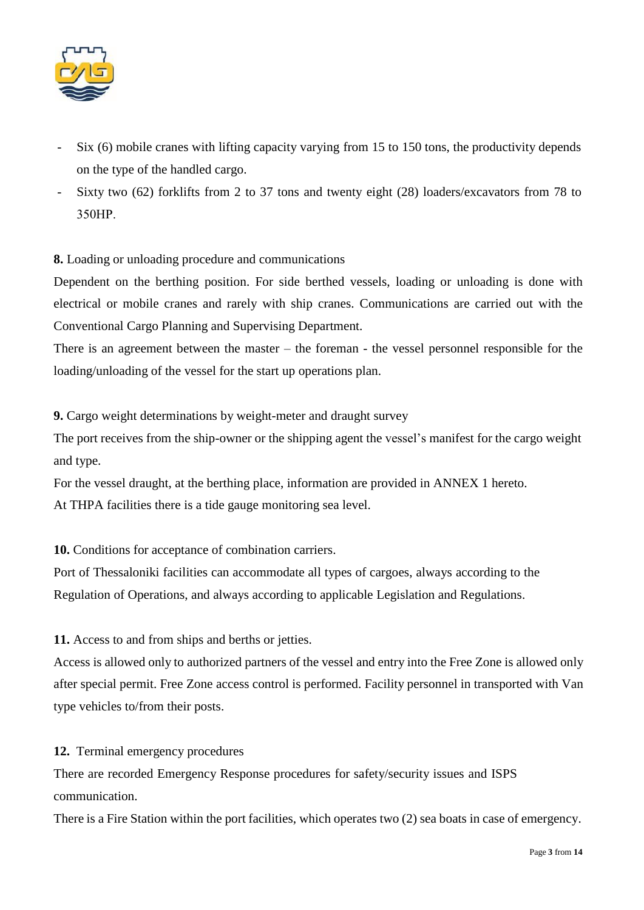

- Six (6) mobile cranes with lifting capacity varying from 15 to 150 tons, the productivity depends on the type of the handled cargo.
- Sixty two (62) forklifts from 2 to 37 tons and twenty eight (28) loaders/excavators from 78 to 350ΗP.

#### **8.** Loading or unloading procedure and communications

Dependent on the berthing position. For side berthed vessels, loading or unloading is done with electrical or mobile cranes and rarely with ship cranes. Communications are carried out with the Conventional Cargo Planning and Supervising Department.

There is an agreement between the master – the foreman - the vessel personnel responsible for the loading/unloading of the vessel for the start up operations plan.

**9.** Cargo weight determinations by weight-meter and draught survey

The port receives from the ship-owner or the shipping agent the vessel's manifest for the cargo weight and type.

For the vessel draught, at the berthing place, information are provided in ANNEX 1 hereto. At THPA facilities there is a tide gauge monitoring sea level.

**10.** Conditions for acceptance of combination carriers.

Port of Thessaloniki facilities can accommodate all types of cargoes, always according to the Regulation of Operations, and always according to applicable Legislation and Regulations.

**11.** Access to and from ships and berths or jetties.

Access is allowed only to authorized partners of the vessel and entry into the Free Zone is allowed only after special permit. Free Zone access control is performed. Facility personnel in transported with Van type vehicles to/from their posts.

#### **12.** Terminal emergency procedures

There are recorded Emergency Response procedures for safety/security issues and ISPS communication.

There is a Fire Station within the port facilities, which operates two (2) sea boats in case of emergency.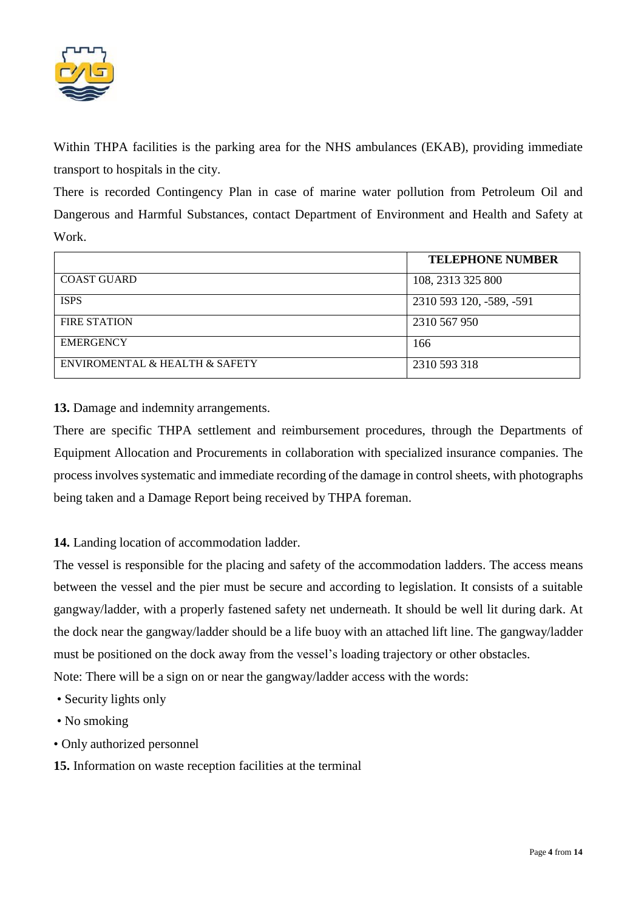

Within THPA facilities is the parking area for the NHS ambulances (EKAB), providing immediate transport to hospitals in the city.

There is recorded Contingency Plan in case of marine water pollution from Petroleum Oil and Dangerous and Harmful Substances, contact Department of Environment and Health and Safety at Work.

|                                | <b>TELEPHONE NUMBER</b>  |
|--------------------------------|--------------------------|
| <b>COAST GUARD</b>             | 108, 2313 325 800        |
| <b>ISPS</b>                    | 2310 593 120, -589, -591 |
| <b>FIRE STATION</b>            | 2310 567 950             |
| <b>EMERGENCY</b>               | 166                      |
| ENVIROMENTAL & HEALTH & SAFETY | 2310 593 318             |

**13.** Damage and indemnity arrangements.

There are specific THPA settlement and reimbursement procedures, through the Departments of Equipment Allocation and Procurements in collaboration with specialized insurance companies. The processinvolves systematic and immediate recording of the damage in control sheets, with photographs being taken and a Damage Report being received by THPA foreman.

**14.** Landing location of accommodation ladder.

The vessel is responsible for the placing and safety of the accommodation ladders. The access means between the vessel and the pier must be secure and according to legislation. It consists of a suitable gangway/ladder, with a properly fastened safety net underneath. It should be well lit during dark. At the dock near the gangway/ladder should be a life buoy with an attached lift line. The gangway/ladder must be positioned on the dock away from the vessel's loading trajectory or other obstacles. Note: There will be a sign on or near the gangway/ladder access with the words:

- Security lights only
- No smoking
- Only authorized personnel

**15.** Information on waste reception facilities at the terminal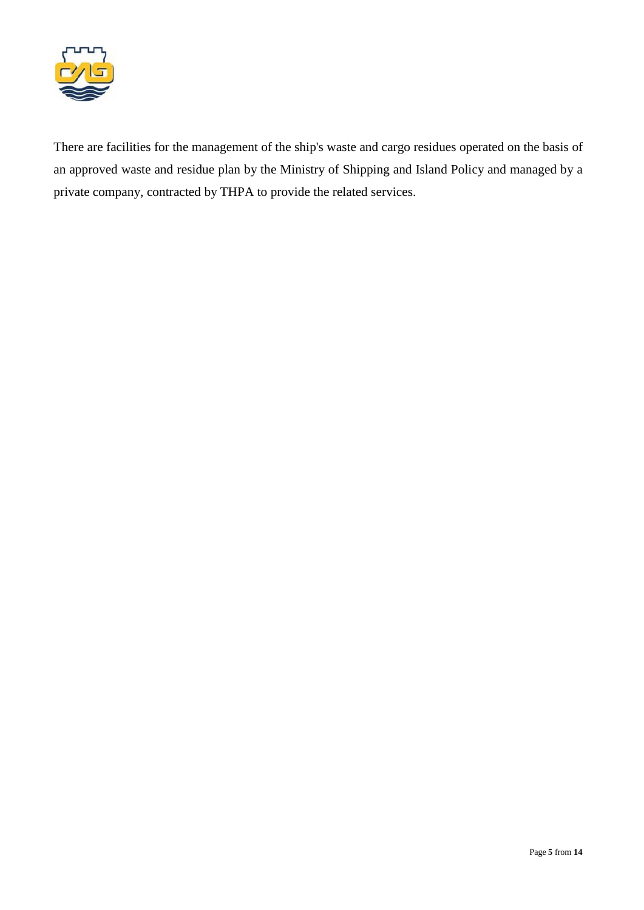

There are facilities for the management of the ship's waste and cargo residues operated on the basis of an approved waste and residue plan by the Ministry of Shipping and Island Policy and managed by a private company, contracted by THPA to provide the related services.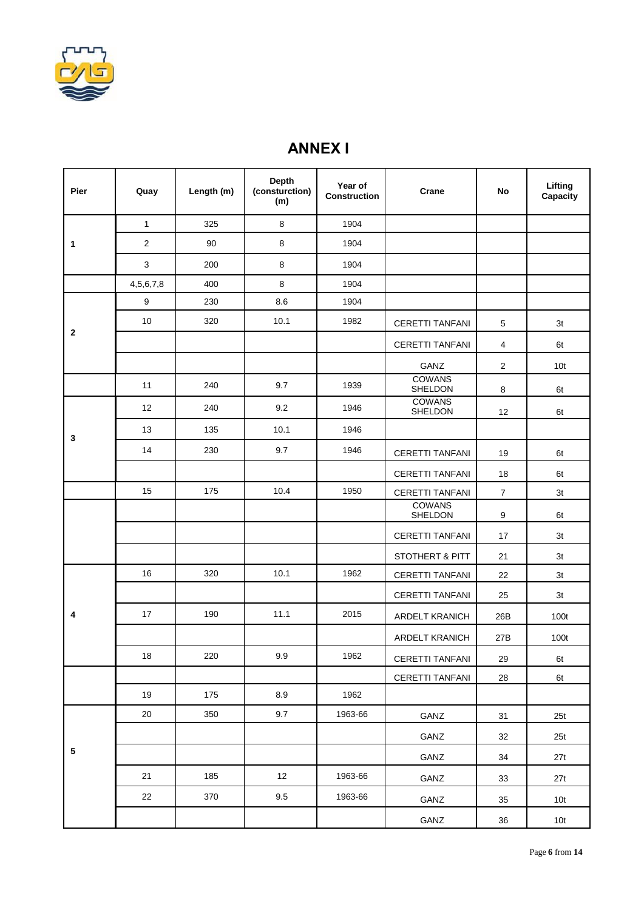

## **ANNEX Ι**

| Pier         | Quay           | Length (m) | Depth<br>(consturction)<br>(m) | Year of<br>Construction | Crane                    | <b>No</b>      | Lifting<br>Capacity |
|--------------|----------------|------------|--------------------------------|-------------------------|--------------------------|----------------|---------------------|
|              | $\mathbf{1}$   | 325        | 8                              | 1904                    |                          |                |                     |
| 1            | $\overline{2}$ | 90         | 8                              | 1904                    |                          |                |                     |
|              | 3              | 200        | 8                              | 1904                    |                          |                |                     |
|              | 4,5,6,7,8      | 400        | 8                              | 1904                    |                          |                |                     |
|              | 9              | 230        | 8.6                            | 1904                    |                          |                |                     |
| $\mathbf{2}$ | 10             | 320        | 10.1                           | 1982                    | CERETTI TANFANI          | 5              | 3t                  |
|              |                |            |                                |                         | CERETTI TANFANI          | 4              | 6t                  |
|              |                |            |                                |                         | GANZ                     | 2              | 10 <sub>t</sub>     |
|              | 11             | 240        | 9.7                            | 1939                    | <b>COWANS</b><br>SHELDON | 8              | 6t                  |
|              | 12             | 240        | 9.2                            | 1946                    | <b>COWANS</b><br>SHELDON | 12             | 6t                  |
| 3            | 13             | 135        | 10.1                           | 1946                    |                          |                |                     |
|              | 14             | 230        | 9.7                            | 1946                    | <b>CERETTI TANFANI</b>   | 19             | 6t                  |
|              |                |            |                                |                         | <b>CERETTI TANFANI</b>   | 18             | 6t                  |
|              | 15             | 175        | 10.4                           | 1950                    | <b>CERETTI TANFANI</b>   | $\overline{7}$ | 3t                  |
|              |                |            |                                |                         | COWANS<br>SHELDON        | 9              | 6t                  |
|              |                |            |                                |                         | <b>CERETTI TANFANI</b>   | 17             | 3t                  |
|              |                |            |                                |                         | STOTHERT & PITT          | 21             | 3t                  |
|              | 16             | 320        | 10.1                           | 1962                    | CERETTI TANFANI          | 22             | 3t                  |
|              |                |            |                                |                         | <b>CERETTI TANFANI</b>   | 25             | 3t                  |
| 4            | 17             | 190        | 11.1                           | 2015                    | ARDELT KRANICH           | 26B            | 100t                |
|              |                |            |                                |                         | ARDELT KRANICH           | 27B            | 100t                |
|              | $18\,$         | 220        | 9.9                            | 1962                    | CERETTI TANFANI          | 29             | 6t                  |
|              |                |            |                                |                         | CERETTI TANFANI          | 28             | 6t                  |
|              | 19             | 175        | 8.9                            | 1962                    |                          |                |                     |
|              | 20             | 350        | 9.7                            | 1963-66                 | GANZ                     | 31             | 25t                 |
|              |                |            |                                |                         | GANZ                     | 32             | 25t                 |
| ${\bf 5}$    |                |            |                                |                         | GANZ                     | 34             | 27t                 |
|              | 21             | 185        | 12                             | 1963-66                 | GANZ                     | 33             | 27t                 |
|              | 22             | 370        | 9.5                            | 1963-66                 | GANZ                     | 35             | 10 <sub>t</sub>     |
|              |                |            |                                |                         | GANZ                     | 36             | 10 <sub>t</sub>     |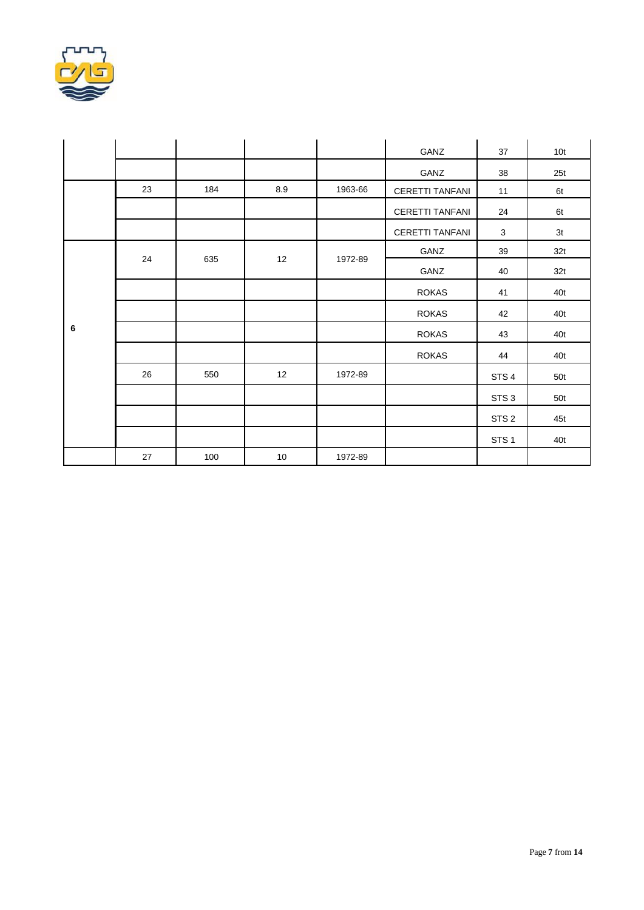

|   |    |     |     |         | GANZ                   | 37               | 10 <sub>t</sub> |
|---|----|-----|-----|---------|------------------------|------------------|-----------------|
|   |    |     |     |         | GANZ                   | 38               | 25t             |
|   | 23 | 184 | 8.9 | 1963-66 | CERETTI TANFANI        | 11               | 6t              |
|   |    |     |     |         | <b>CERETTI TANFANI</b> | 24               | 6t              |
|   |    |     |     |         | CERETTI TANFANI        | 3                | 3t              |
| 6 |    |     |     |         | GANZ                   | 39               | 32t             |
|   | 24 | 635 | 12  | 1972-89 | GANZ                   | 40               | 32t             |
|   |    |     |     |         | <b>ROKAS</b>           | 41               | 40t             |
|   |    |     |     |         | <b>ROKAS</b>           | 42               | 40t             |
|   |    |     |     |         | <b>ROKAS</b>           | 43               | 40t             |
|   |    |     |     |         | <b>ROKAS</b>           | 44               | 40t             |
|   | 26 | 550 | 12  | 1972-89 |                        | STS <sub>4</sub> | 50t             |
|   |    |     |     |         |                        | STS <sub>3</sub> | 50t             |
|   |    |     |     |         |                        | STS <sub>2</sub> | 45t             |
|   |    |     |     |         |                        | STS <sub>1</sub> | 40t             |
|   | 27 | 100 | 10  | 1972-89 |                        |                  |                 |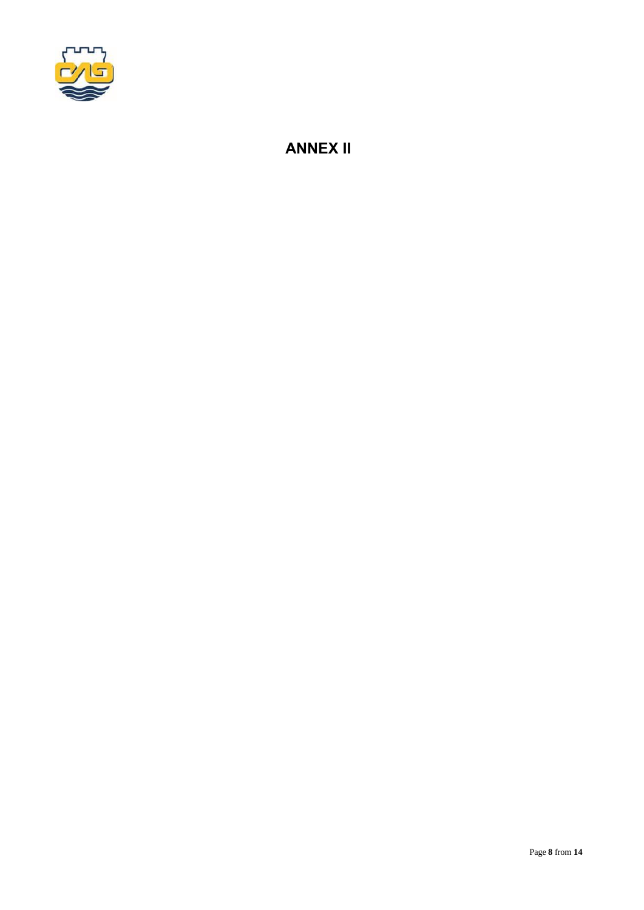

**ANNEX ΙΙ**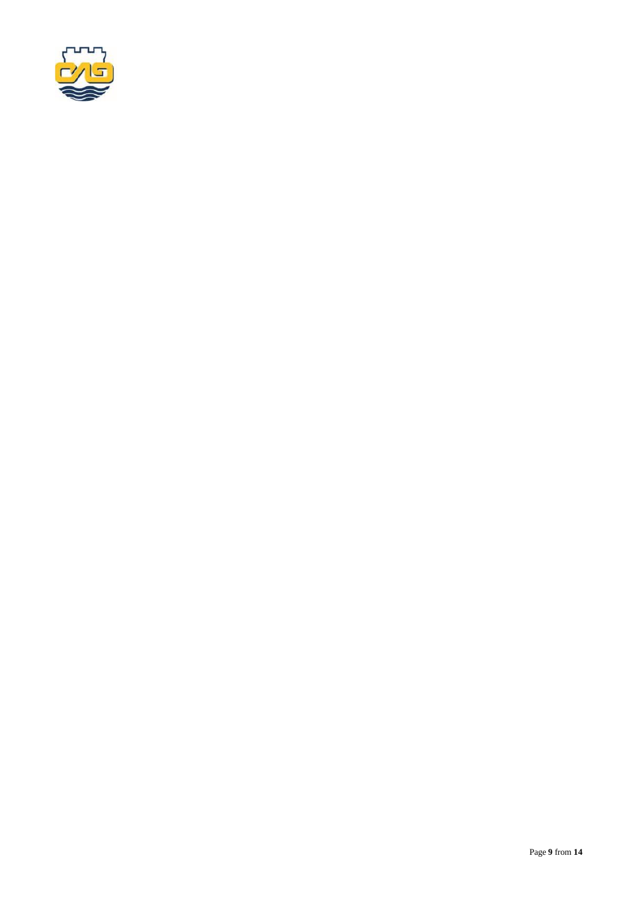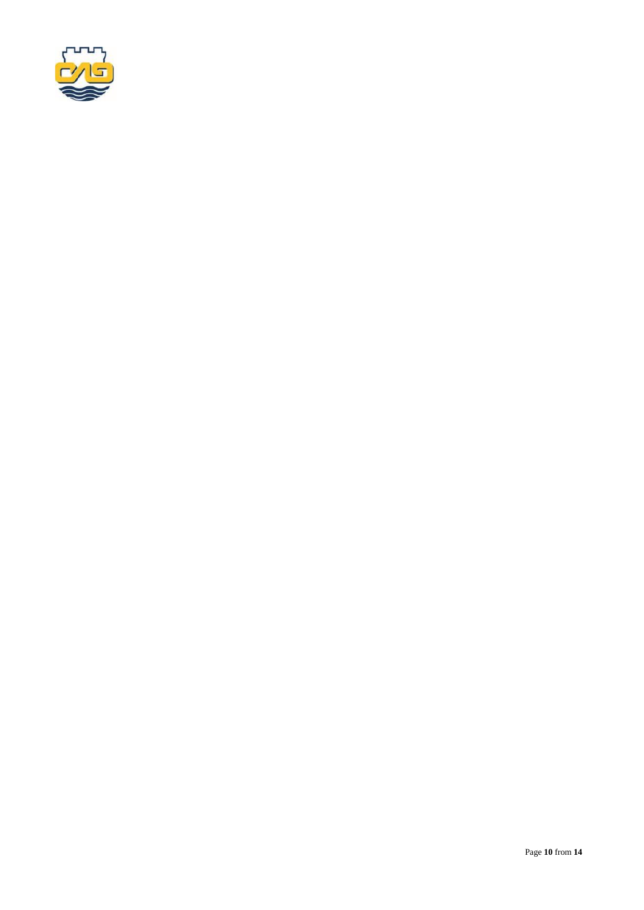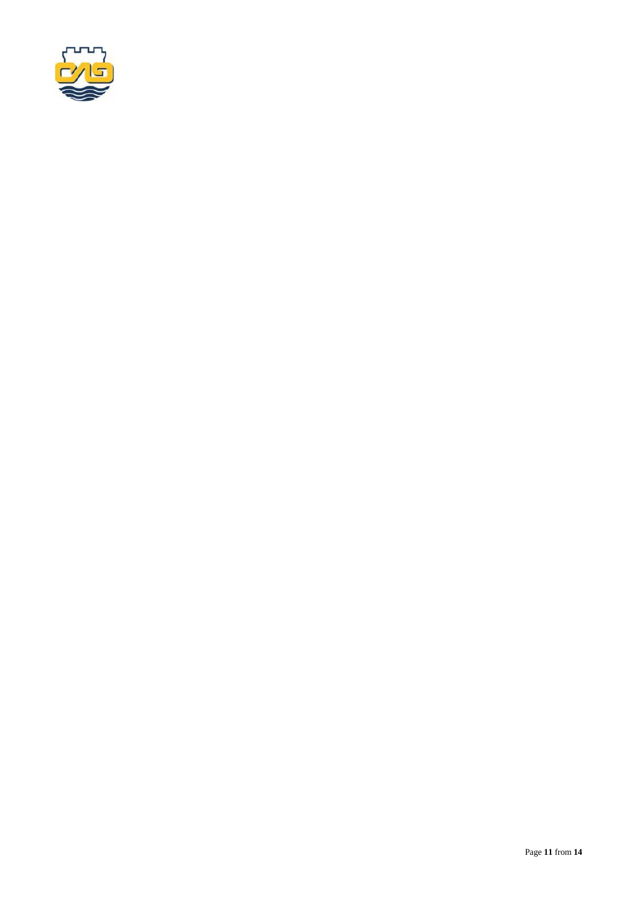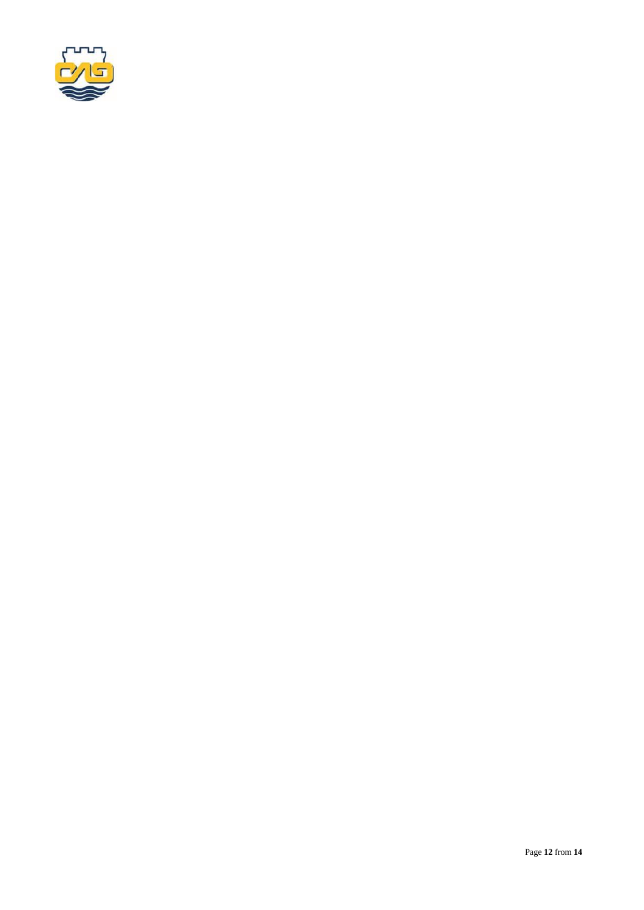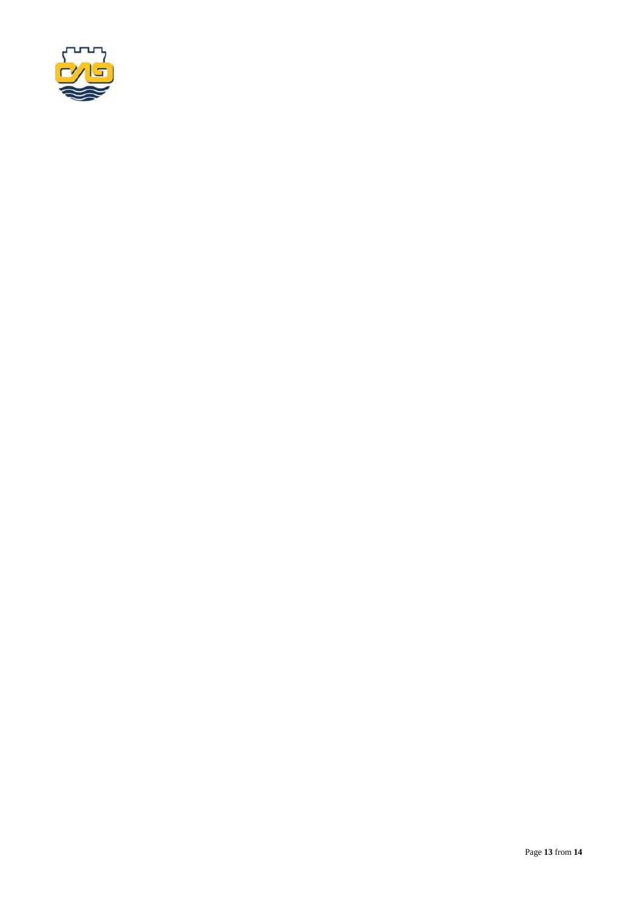